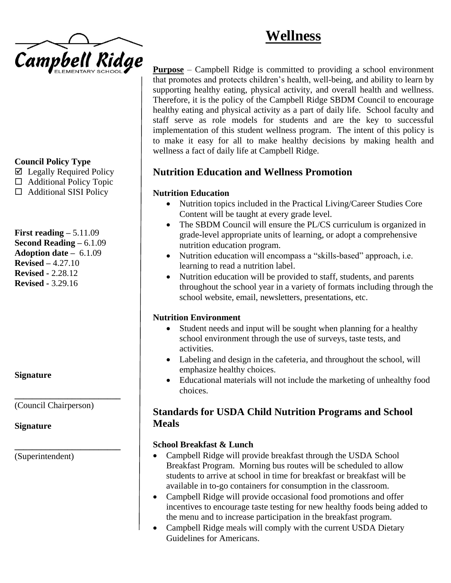# **Wellness**



## **Council Policy Type**

- $\boxtimes$  Legally Required Policy
- $\Box$  Additional Policy Topic
- $\Box$  Additional SISI Policy

**First reading –** 5.11.09 **Second Reading –** 6.1.09 **Adoption date –** 6.1.09 **Revised –** 4.27.10 **Revised -** 2.28.12 **Revised -** 3.29.16

## **Signature**

(Council Chairperson)

**\_\_\_\_\_\_\_\_\_\_\_\_\_\_\_\_\_\_\_\_\_\_\_\_**

**\_\_\_\_\_\_\_\_\_\_\_\_\_\_\_\_\_\_\_\_\_\_\_\_**

#### **Signature**

(Superintendent)

**Purpose** – Campbell Ridge is committed to providing a school environment that promotes and protects children's health, well-being, and ability to learn by supporting healthy eating, physical activity, and overall health and wellness. Therefore, it is the policy of the Campbell Ridge SBDM Council to encourage healthy eating and physical activity as a part of daily life. School faculty and staff serve as role models for students and are the key to successful implementation of this student wellness program. The intent of this policy is to make it easy for all to make healthy decisions by making health and wellness a fact of daily life at Campbell Ridge.

# **Nutrition Education and Wellness Promotion**

## **Nutrition Education**

- Nutrition topics included in the Practical Living/Career Studies Core Content will be taught at every grade level.
- The SBDM Council will ensure the PL/CS curriculum is organized in grade-level appropriate units of learning, or adopt a comprehensive nutrition education program.
- Nutrition education will encompass a "skills-based" approach, i.e. learning to read a nutrition label.
- Nutrition education will be provided to staff, students, and parents throughout the school year in a variety of formats including through the school website, email, newsletters, presentations, etc.

#### **Nutrition Environment**

- Student needs and input will be sought when planning for a healthy school environment through the use of surveys, taste tests, and activities.
- Labeling and design in the cafeteria, and throughout the school, will emphasize healthy choices.
- Educational materials will not include the marketing of unhealthy food choices.

## **Standards for USDA Child Nutrition Programs and School Meals**

#### **School Breakfast & Lunch**

- Campbell Ridge will provide breakfast through the USDA School Breakfast Program. Morning bus routes will be scheduled to allow students to arrive at school in time for breakfast or breakfast will be available in to-go containers for consumption in the classroom.
- Campbell Ridge will provide occasional food promotions and offer incentives to encourage taste testing for new healthy foods being added to the menu and to increase participation in the breakfast program.
- Campbell Ridge meals will comply with the current USDA Dietary Guidelines for Americans.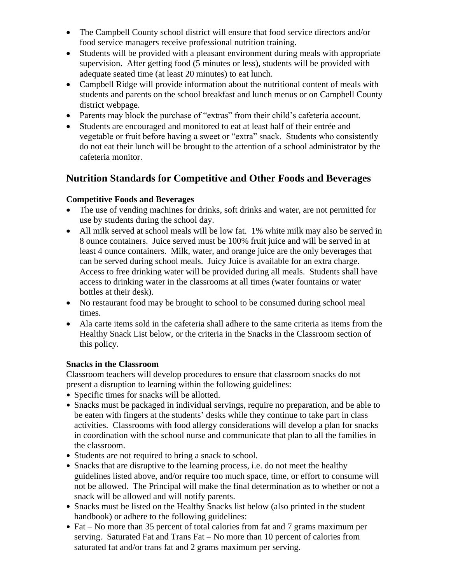- The Campbell County school district will ensure that food service directors and/or food service managers receive professional nutrition training.
- Students will be provided with a pleasant environment during meals with appropriate supervision. After getting food (5 minutes or less), students will be provided with adequate seated time (at least 20 minutes) to eat lunch.
- Campbell Ridge will provide information about the nutritional content of meals with students and parents on the school breakfast and lunch menus or on Campbell County district webpage.
- Parents may block the purchase of "extras" from their child's cafeteria account.
- Students are encouraged and monitored to eat at least half of their entrée and vegetable or fruit before having a sweet or "extra" snack. Students who consistently do not eat their lunch will be brought to the attention of a school administrator by the cafeteria monitor.

# **Nutrition Standards for Competitive and Other Foods and Beverages**

## **Competitive Foods and Beverages**

- The use of vending machines for drinks, soft drinks and water, are not permitted for use by students during the school day.
- All milk served at school meals will be low fat. 1% white milk may also be served in 8 ounce containers. Juice served must be 100% fruit juice and will be served in at least 4 ounce containers. Milk, water, and orange juice are the only beverages that can be served during school meals. Juicy Juice is available for an extra charge. Access to free drinking water will be provided during all meals. Students shall have access to drinking water in the classrooms at all times (water fountains or water bottles at their desk).
- No restaurant food may be brought to school to be consumed during school meal times.
- Ala carte items sold in the cafeteria shall adhere to the same criteria as items from the Healthy Snack List below, or the criteria in the Snacks in the Classroom section of this policy.

#### **Snacks in the Classroom**

Classroom teachers will develop procedures to ensure that classroom snacks do not present a disruption to learning within the following guidelines:

- Specific times for snacks will be allotted.
- Snacks must be packaged in individual servings, require no preparation, and be able to be eaten with fingers at the students' desks while they continue to take part in class activities. Classrooms with food allergy considerations will develop a plan for snacks in coordination with the school nurse and communicate that plan to all the families in the classroom.
- Students are not required to bring a snack to school.
- Snacks that are disruptive to the learning process, i.e. do not meet the healthy guidelines listed above, and/or require too much space, time, or effort to consume will not be allowed. The Principal will make the final determination as to whether or not a snack will be allowed and will notify parents.
- Snacks must be listed on the Healthy Snacks list below (also printed in the student handbook) or adhere to the following guidelines:
- Fat No more than 35 percent of total calories from fat and 7 grams maximum per serving. Saturated Fat and Trans Fat – No more than 10 percent of calories from saturated fat and/or trans fat and 2 grams maximum per serving.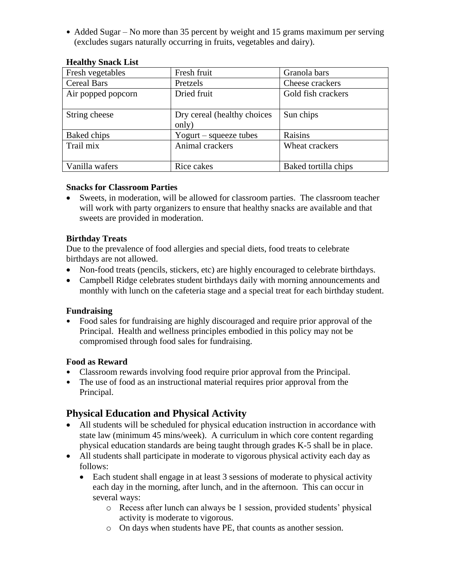• Added Sugar – No more than 35 percent by weight and 15 grams maximum per serving (excludes sugars naturally occurring in fruits, vegetables and dairy).

| Fresh vegetables   | Fresh fruit                 | Granola bars         |
|--------------------|-----------------------------|----------------------|
| <b>Cereal Bars</b> | Pretzels                    | Cheese crackers      |
| Air popped popcorn | Dried fruit                 | Gold fish crackers   |
|                    |                             |                      |
| String cheese      | Dry cereal (healthy choices | Sun chips            |
|                    | only)                       |                      |
| Baked chips        | Yogurt – squeeze tubes      | Raisins              |
| Trail mix          | Animal crackers             | Wheat crackers       |
|                    |                             |                      |
| Vanilla wafers     | Rice cakes                  | Baked tortilla chips |

#### **Healthy Snack List**

#### **Snacks for Classroom Parties**

 Sweets, in moderation, will be allowed for classroom parties. The classroom teacher will work with party organizers to ensure that healthy snacks are available and that sweets are provided in moderation.

#### **Birthday Treats**

Due to the prevalence of food allergies and special diets, food treats to celebrate birthdays are not allowed.

- Non-food treats (pencils, stickers, etc) are highly encouraged to celebrate birthdays.
- Campbell Ridge celebrates student birthdays daily with morning announcements and monthly with lunch on the cafeteria stage and a special treat for each birthday student.

#### **Fundraising**

 Food sales for fundraising are highly discouraged and require prior approval of the Principal. Health and wellness principles embodied in this policy may not be compromised through food sales for fundraising.

#### **Food as Reward**

- Classroom rewards involving food require prior approval from the Principal.
- The use of food as an instructional material requires prior approval from the Principal.

## **Physical Education and Physical Activity**

- All students will be scheduled for physical education instruction in accordance with state law (minimum 45 mins/week). A curriculum in which core content regarding physical education standards are being taught through grades K-5 shall be in place.
- All students shall participate in moderate to vigorous physical activity each day as follows:
	- Each student shall engage in at least 3 sessions of moderate to physical activity each day in the morning, after lunch, and in the afternoon. This can occur in several ways:
		- o Recess after lunch can always be 1 session, provided students' physical activity is moderate to vigorous.
		- o On days when students have PE, that counts as another session.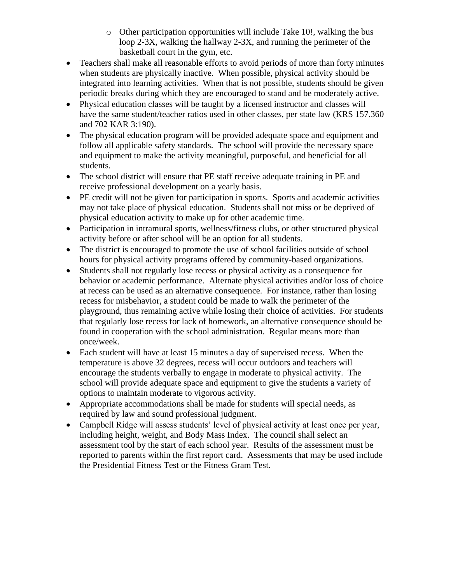- o Other participation opportunities will include Take 10!, walking the bus loop 2-3X, walking the hallway 2-3X, and running the perimeter of the basketball court in the gym, etc.
- Teachers shall make all reasonable efforts to avoid periods of more than forty minutes when students are physically inactive. When possible, physical activity should be integrated into learning activities. When that is not possible, students should be given periodic breaks during which they are encouraged to stand and be moderately active.
- Physical education classes will be taught by a licensed instructor and classes will have the same student/teacher ratios used in other classes, per state law (KRS 157.360 and 702 KAR 3:190).
- The physical education program will be provided adequate space and equipment and follow all applicable safety standards. The school will provide the necessary space and equipment to make the activity meaningful, purposeful, and beneficial for all students.
- The school district will ensure that PE staff receive adequate training in PE and receive professional development on a yearly basis.
- PE credit will not be given for participation in sports. Sports and academic activities may not take place of physical education. Students shall not miss or be deprived of physical education activity to make up for other academic time.
- Participation in intramural sports, wellness/fitness clubs, or other structured physical activity before or after school will be an option for all students.
- The district is encouraged to promote the use of school facilities outside of school hours for physical activity programs offered by community-based organizations.
- Students shall not regularly lose recess or physical activity as a consequence for behavior or academic performance. Alternate physical activities and/or loss of choice at recess can be used as an alternative consequence. For instance, rather than losing recess for misbehavior, a student could be made to walk the perimeter of the playground, thus remaining active while losing their choice of activities. For students that regularly lose recess for lack of homework, an alternative consequence should be found in cooperation with the school administration. Regular means more than once/week.
- Each student will have at least 15 minutes a day of supervised recess. When the temperature is above 32 degrees, recess will occur outdoors and teachers will encourage the students verbally to engage in moderate to physical activity. The school will provide adequate space and equipment to give the students a variety of options to maintain moderate to vigorous activity.
- Appropriate accommodations shall be made for students will special needs, as required by law and sound professional judgment.
- Campbell Ridge will assess students' level of physical activity at least once per year, including height, weight, and Body Mass Index. The council shall select an assessment tool by the start of each school year. Results of the assessment must be reported to parents within the first report card. Assessments that may be used include the Presidential Fitness Test or the Fitness Gram Test.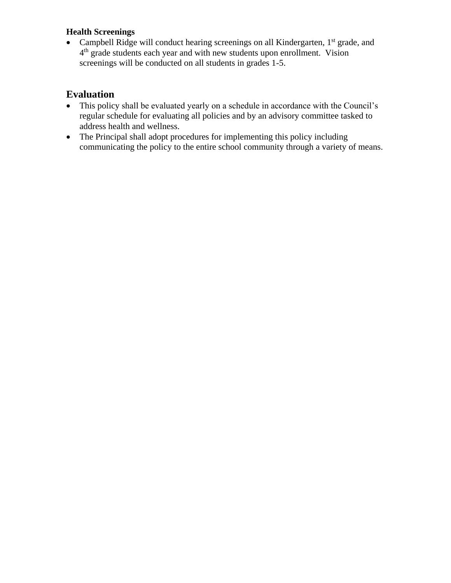## **Health Screenings**

• Campbell Ridge will conduct hearing screenings on all Kindergarten,  $1<sup>st</sup>$  grade, and 4<sup>th</sup> grade students each year and with new students upon enrollment. Vision screenings will be conducted on all students in grades 1-5.

# **Evaluation**

- This policy shall be evaluated yearly on a schedule in accordance with the Council's regular schedule for evaluating all policies and by an advisory committee tasked to address health and wellness.
- The Principal shall adopt procedures for implementing this policy including communicating the policy to the entire school community through a variety of means.